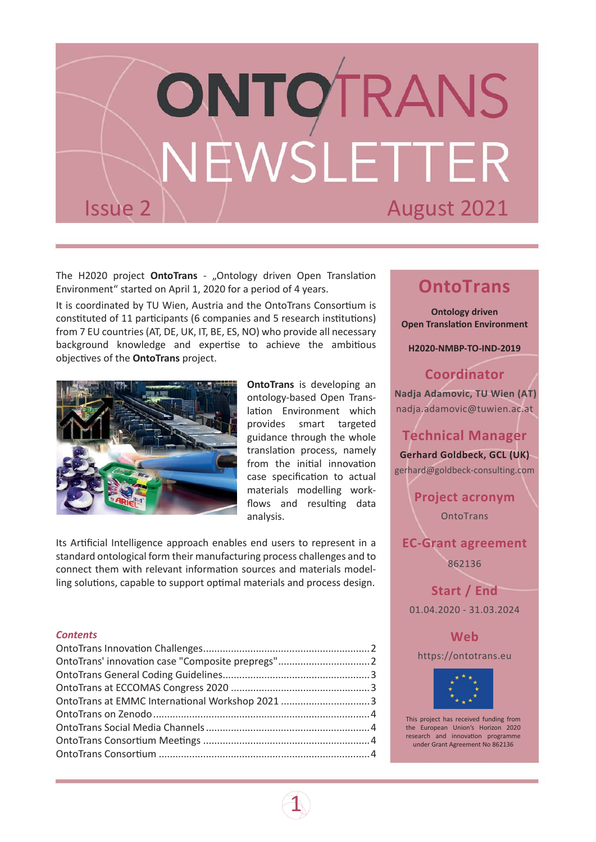

The H2020 project **[OntoTrans](https://ontotrans.eu/)** - "Ontology driven Open Translation Environment" started on April 1, 2020 for a period of 4 years.

It is coordinated by TU Wien, Austria and the OntoTrans Consortium is constituted of 11 participants (6 companies and 5 research institutions) from 7 EU countries (AT, DE, UK, IT, BE, ES, NO) who provide all necessary background knowledge and expertise to achieve the ambitious objectives of the **[OntoTrans](https://ontotrans.eu/)** project.



**[OntoTrans](https://ontotrans.eu/)** is developing an ontology-based Open Translation Environment which provides smart targeted guidance through the whole translation process, namely from the initial innovation case specification to actual materials modelling workflows and resulting data analysis.

 $\mathbf 1$ 

Its Artificial Intelligence approach enables end users to represent in a standard ontological form their manufacturing process challenges and to connect them with relevant information sources and materials modelling solutions, capable to support optimal materials and process design.

#### *Contents*

# **OntoTrans**

**Ontology driven Open Translation Environment** 

**H2020-NMBP-TO-IND-2019**

#### **Coordinator**

**Nadja Adamovic, TU Wien (AT)** [nadja.adamovic@tuwien.ac.at](mailto:nadja.adamovic@tuwien.ac.at)

#### **Technical Manager**

**Gerhard Goldbeck, GCL (UK)** [gerhard@goldbeck-consulting.com](mailto:gerhard@goldbeck-consulting.com)

> **Project acronym OntoTrans**

#### **EC-Grant agreement**

862136

**Start / End** 01.04.2020 - 31.03.2024

**Web**

[https://ontotrans.eu](https://ontotrans.eu/)



This project has received funding from the European Union's Horizon 2020 research and innovation programme under Grant Agreement No 862136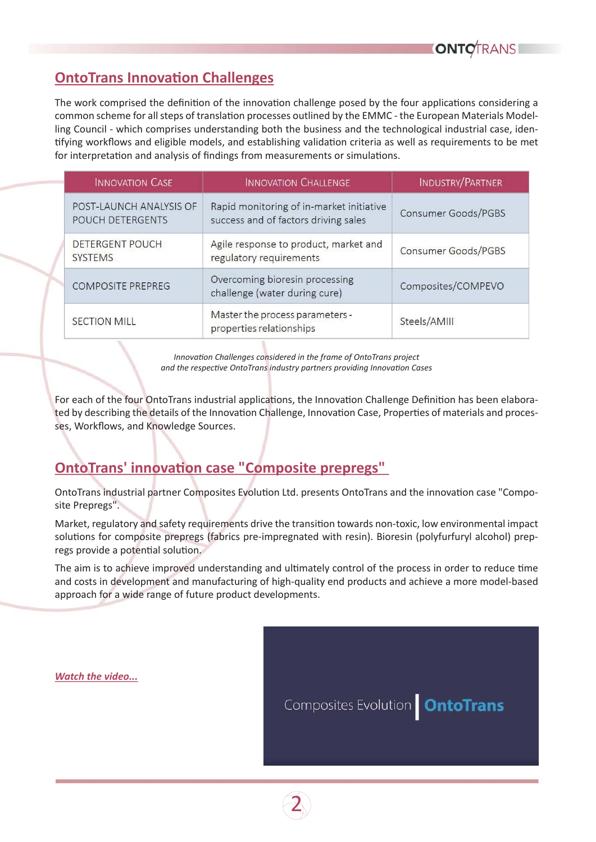# <span id="page-1-0"></span>**OntoTrans Innovation Challenges**

The work comprised the definition of the innovation challenge posed by the four applications considering a common scheme for all steps of translation processes outlined by the EMMC - the European Materials Modelling Council - which comprises understanding both the business and the technological industrial case, identifying workflows and eligible models, and establishing validation criteria as well as requirements to be met for interpretation and analysis of findings from measurements or simulations.

| <b>INNOVATION CASE</b>                      | <b>INNOVATION CHALLENGE</b>                                                      | <b>INDUSTRY/PARTNER</b> |
|---------------------------------------------|----------------------------------------------------------------------------------|-------------------------|
| POST-LAUNCH ANALYSIS OF<br>POUCH DETERGENTS | Rapid monitoring of in-market initiative<br>success and of factors driving sales | Consumer Goods/PGBS     |
| <b>DETERGENT POUCH</b><br><b>SYSTEMS</b>    | Agile response to product, market and<br>regulatory requirements                 | Consumer Goods/PGBS     |
| <b>COMPOSITE PREPREG</b>                    | Overcoming bioresin processing<br>challenge (water during cure)                  | Composites/COMPEVO      |
| <b>SECTION MILL</b>                         | Master the process parameters -<br>properties relationships                      | Steels/AMIII            |

*InnovaƟon Challenges considered in the frame of OntoTrans project*  and the respective OntoTrans industry partners providing Innovation Cases

For each of the four OntoTrans industrial applications, the Innovation Challenge Definition has been elaborated by describing the details of the Innovation Challenge, Innovation Case, Properties of materials and processes, Workflows, and Knowledge Sources.

### **OntoTrans' innovation case "Composite prepregs"**

OntoTrans industrial partner Composites Evolution Ltd. presents OntoTrans and the innovation case "Composite Prepregs".

Market, regulatory and safety requirements drive the transition towards non-toxic, low environmental impact solutions for composite prepregs (fabrics pre-impregnated with resin). Bioresin (polyfurfuryl alcohol) prepregs provide a potential solution.

The aim is to achieve improved understanding and ultimately control of the process in order to reduce time and costs in development and manufacturing of high-quality end products and achieve a more model-based approach for a wide range of future product developments.

*[Watch the video...](https://ontotrans.eu/project/applications/#composite-prepregs)*

Composites Evolution **OntoTrans** 

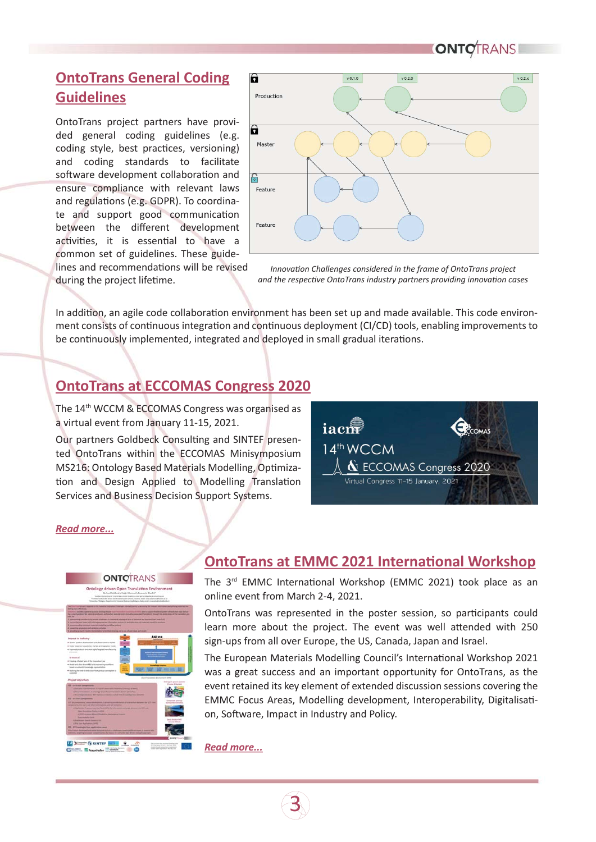# <span id="page-2-0"></span>**OntoTrans General Coding Guidelines**

OntoTrans project partners have provided general coding guidelines (e.g. coding style, best practices, versioning) and coding standards to facilitate software development collaboration and ensure compliance with relevant laws and regulations (e.g. GDPR). To coordinate and support good communication between the different development activities, it is essential to have a common set of guidelines. These guidelines and recommendations will be revised during the project lifetime.



*InnovaƟon Challenges considered in the frame of OntoTrans project*  and the respective OntoTrans industry partners providing innovation cases

In addition, an agile code collaboration environment has been set up and made available. This code environment consists of continuous integration and continuous deployment (CI/CD) tools, enabling improvements to be continuously implemented, integrated and deployed in small gradual iterations.

# **OntoTrans at ECCOMAS Congress 2020**

The 14th WCCM & ECCOMAS Congress was organised as a virtual event from January 11-15, 2021.

Our partners Goldbeck Consulting and SINTEF presented OntoTrans within the ECCOMAS Minisymposium MS216: Ontology Based Materials Modelling, Optimization and Design Applied to Modelling Translation Services and Business Decision Support Systems.



#### *[Read more...](https://ontotrans.eu/news/ontotrans-eccomas-2020/)*



#### **OntoTrans at EMMC 2021 International Workshop**

The 3<sup>rd</sup> EMMC International Workshop (EMMC 2021) took place as an online event from March 2-4, 2021.

OntoTrans was represented in the poster session, so participants could learn more about the project. The event was well attended with 250 sign-ups from all over Europe, the US, Canada, Japan and Israel.

The European Materials Modelling Council's International Workshop 2021 was a great success and an important opportunity for OntoTrans, as the event retained its key element of extended discussion sessions covering the EMMC Focus Areas, Modelling development, Interoperability, Digitalisation, Software, Impact in Industry and Policy.

*[Read more...](https://ontotrans.eu/news/ontotrans-emmc2021/)*